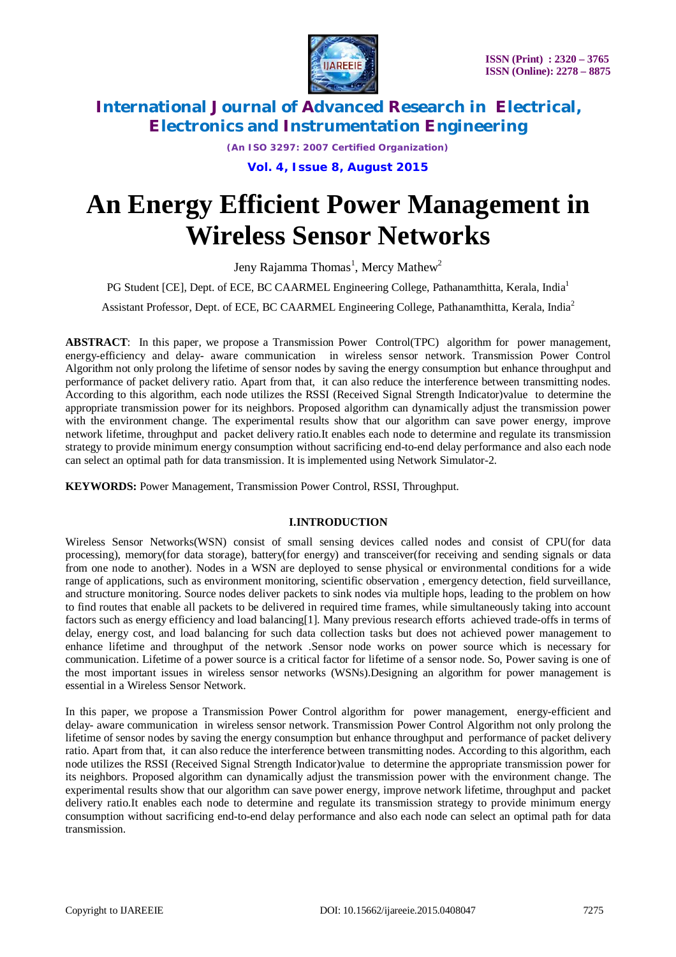

*(An ISO 3297: 2007 Certified Organization)*

**Vol. 4, Issue 8, August 2015**

# **An Energy Efficient Power Management in Wireless Sensor Networks**

Jeny Rajamma Thomas<sup>1</sup>, Mercy Mathew<sup>2</sup>

PG Student [CE], Dept. of ECE, BC CAARMEL Engineering College, Pathanamthitta, Kerala, India<sup>1</sup>

Assistant Professor, Dept. of ECE, BC CAARMEL Engineering College, Pathanamthitta, Kerala, India<sup>2</sup>

**ABSTRACT**: In this paper, we propose a Transmission Power Control(TPC) algorithm for power management, energy-efficiency and delay- aware communication in wireless sensor network. Transmission Power Control Algorithm not only prolong the lifetime of sensor nodes by saving the energy consumption but enhance throughput and performance of packet delivery ratio. Apart from that, it can also reduce the interference between transmitting nodes. According to this algorithm, each node utilizes the RSSI (Received Signal Strength Indicator)value to determine the appropriate transmission power for its neighbors. Proposed algorithm can dynamically adjust the transmission power with the environment change. The experimental results show that our algorithm can save power energy, improve network lifetime, throughput and packet delivery ratio.It enables each node to determine and regulate its transmission strategy to provide minimum energy consumption without sacrificing end-to-end delay performance and also each node can select an optimal path for data transmission. It is implemented using Network Simulator-2.

**KEYWORDS:** Power Management, Transmission Power Control, RSSI, Throughput.

### **I.INTRODUCTION**

Wireless Sensor Networks(WSN) consist of small sensing devices called nodes and consist of CPU(for data processing), memory(for data storage), battery(for energy) and transceiver(for receiving and sending signals or data from one node to another). Nodes in a WSN are deployed to sense physical or environmental conditions for a wide range of applications, such as environment monitoring, scientific observation , emergency detection, field surveillance, and structure monitoring. Source nodes deliver packets to sink nodes via multiple hops, leading to the problem on how to find routes that enable all packets to be delivered in required time frames, while simultaneously taking into account factors such as energy efficiency and load balancing[1]. Many previous research efforts achieved trade-offs in terms of delay, energy cost, and load balancing for such data collection tasks but does not achieved power management to enhance lifetime and throughput of the network .Sensor node works on power source which is necessary for communication. Lifetime of a power source is a critical factor for lifetime of a sensor node. So, Power saving is one of the most important issues in wireless sensor networks (WSNs).Designing an algorithm for power management is essential in a Wireless Sensor Network.

In this paper, we propose a Transmission Power Control algorithm for power management, energy-efficient and delay- aware communication in wireless sensor network. Transmission Power Control Algorithm not only prolong the lifetime of sensor nodes by saving the energy consumption but enhance throughput and performance of packet delivery ratio. Apart from that, it can also reduce the interference between transmitting nodes. According to this algorithm, each node utilizes the RSSI (Received Signal Strength Indicator)value to determine the appropriate transmission power for its neighbors. Proposed algorithm can dynamically adjust the transmission power with the environment change. The experimental results show that our algorithm can save power energy, improve network lifetime, throughput and packet delivery ratio.It enables each node to determine and regulate its transmission strategy to provide minimum energy consumption without sacrificing end-to-end delay performance and also each node can select an optimal path for data transmission.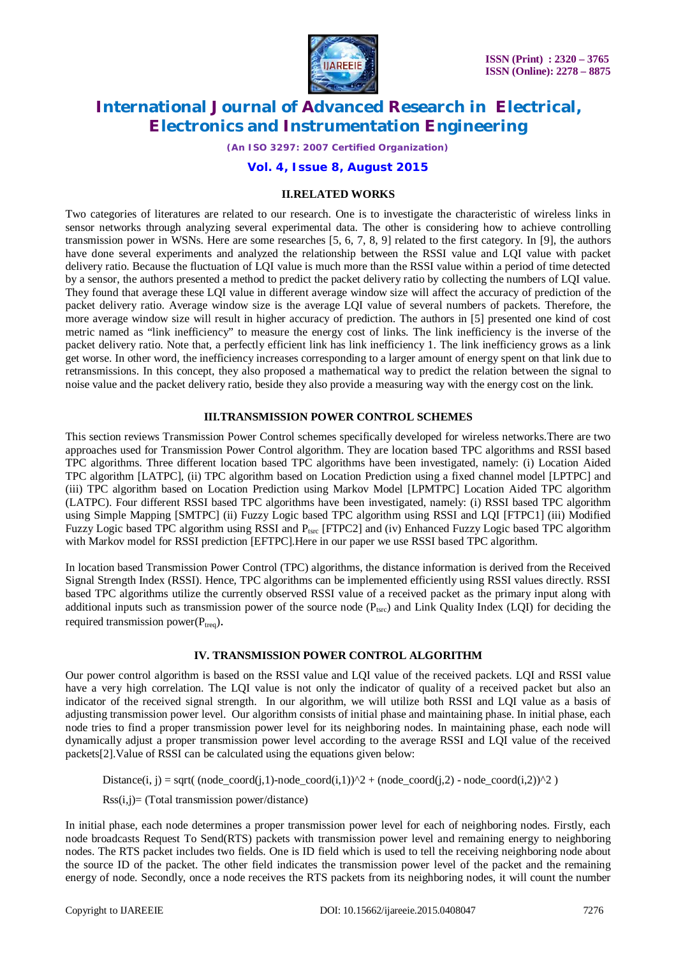

*(An ISO 3297: 2007 Certified Organization)*

### **Vol. 4, Issue 8, August 2015**

#### **II.RELATED WORKS**

Two categories of literatures are related to our research. One is to investigate the characteristic of wireless links in sensor networks through analyzing several experimental data. The other is considering how to achieve controlling transmission power in WSNs. Here are some researches [5, 6, 7, 8, 9] related to the first category. In [9], the authors have done several experiments and analyzed the relationship between the RSSI value and LQI value with packet delivery ratio. Because the fluctuation of LQI value is much more than the RSSI value within a period of time detected by a sensor, the authors presented a method to predict the packet delivery ratio by collecting the numbers of LQI value. They found that average these LQI value in different average window size will affect the accuracy of prediction of the packet delivery ratio. Average window size is the average LQI value of several numbers of packets. Therefore, the more average window size will result in higher accuracy of prediction. The authors in [5] presented one kind of cost metric named as "link inefficiency" to measure the energy cost of links. The link inefficiency is the inverse of the packet delivery ratio. Note that, a perfectly efficient link has link inefficiency 1. The link inefficiency grows as a link get worse. In other word, the inefficiency increases corresponding to a larger amount of energy spent on that link due to retransmissions. In this concept, they also proposed a mathematical way to predict the relation between the signal to noise value and the packet delivery ratio, beside they also provide a measuring way with the energy cost on the link.

### **III.TRANSMISSION POWER CONTROL SCHEMES**

This section reviews Transmission Power Control schemes specifically developed for wireless networks.There are two approaches used for Transmission Power Control algorithm. They are location based TPC algorithms and RSSI based TPC algorithms. Three different location based TPC algorithms have been investigated, namely: (i) Location Aided TPC algorithm [LATPC], (ii) TPC algorithm based on Location Prediction using a fixed channel model [LPTPC] and (iii) TPC algorithm based on Location Prediction using Markov Model [LPMTPC] Location Aided TPC algorithm (LATPC). Four different RSSI based TPC algorithms have been investigated, namely: (i) RSSI based TPC algorithm using Simple Mapping [SMTPC] (ii) Fuzzy Logic based TPC algorithm using RSSI and LQI [FTPC1] (iii) Modified Fuzzy Logic based TPC algorithm using RSSI and P<sub>tsrc</sub> [FTPC2] and (iv) Enhanced Fuzzy Logic based TPC algorithm with Markov model for RSSI prediction [EFTPC].Here in our paper we use RSSI based TPC algorithm.

In location based Transmission Power Control (TPC) algorithms, the distance information is derived from the Received Signal Strength Index (RSSI). Hence, TPC algorithms can be implemented efficiently using RSSI values directly. RSSI based TPC algorithms utilize the currently observed RSSI value of a received packet as the primary input along with additional inputs such as transmission power of the source node  $(P_{\text{tsrc}})$  and Link Quality Index (LQI) for deciding the required transmission power $(P_{t_{\text{req}}})$ .

### **IV. TRANSMISSION POWER CONTROL ALGORITHM**

Our power control algorithm is based on the RSSI value and LQI value of the received packets. LQI and RSSI value have a very high correlation. The LQI value is not only the indicator of quality of a received packet but also an indicator of the received signal strength. In our algorithm, we will utilize both RSSI and LQI value as a basis of adjusting transmission power level. Our algorithm consists of initial phase and maintaining phase. In initial phase, each node tries to find a proper transmission power level for its neighboring nodes. In maintaining phase, each node will dynamically adjust a proper transmission power level according to the average RSSI and LQI value of the received packets[2].Value of RSSI can be calculated using the equations given below:

Distance(i, j) = sqrt(  $(node\_coord(j,1)-node\_coord(i,1))^2 + (node\_coord(j,2) - node\_coord(i,2))^2$  )

 $Rss(i,j)$ = (Total transmission power/distance)

In initial phase, each node determines a proper transmission power level for each of neighboring nodes. Firstly, each node broadcasts Request To Send(RTS) packets with transmission power level and remaining energy to neighboring nodes. The RTS packet includes two fields. One is ID field which is used to tell the receiving neighboring node about the source ID of the packet. The other field indicates the transmission power level of the packet and the remaining energy of node. Secondly, once a node receives the RTS packets from its neighboring nodes, it will count the number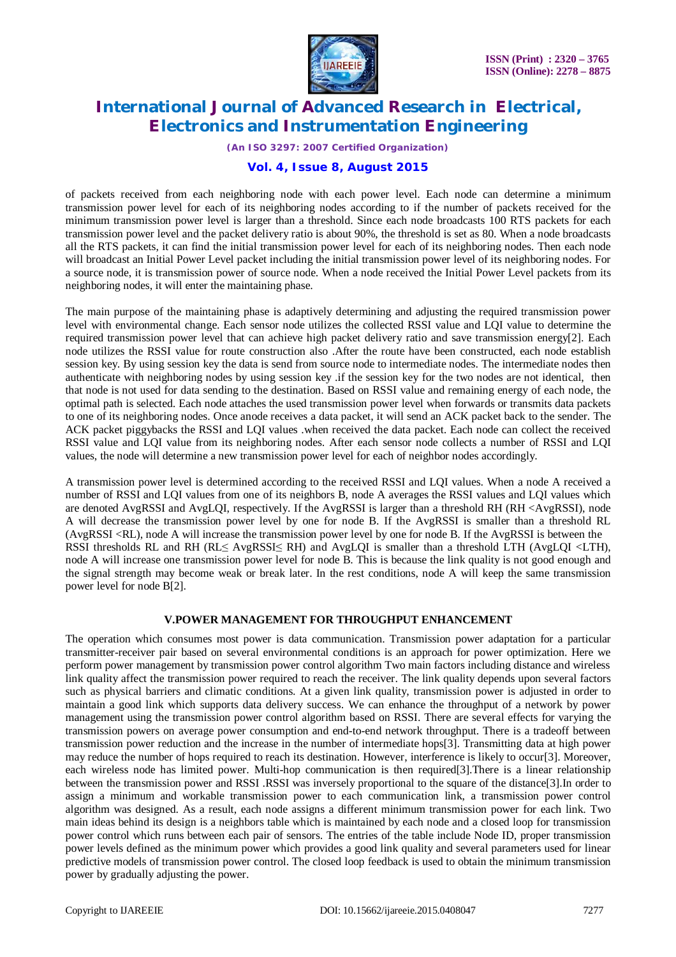

*(An ISO 3297: 2007 Certified Organization)*

# **Vol. 4, Issue 8, August 2015**

of packets received from each neighboring node with each power level. Each node can determine a minimum transmission power level for each of its neighboring nodes according to if the number of packets received for the minimum transmission power level is larger than a threshold. Since each node broadcasts 100 RTS packets for each transmission power level and the packet delivery ratio is about 90%, the threshold is set as 80. When a node broadcasts all the RTS packets, it can find the initial transmission power level for each of its neighboring nodes. Then each node will broadcast an Initial Power Level packet including the initial transmission power level of its neighboring nodes. For a source node, it is transmission power of source node. When a node received the Initial Power Level packets from its neighboring nodes, it will enter the maintaining phase.

The main purpose of the maintaining phase is adaptively determining and adjusting the required transmission power level with environmental change. Each sensor node utilizes the collected RSSI value and LQI value to determine the required transmission power level that can achieve high packet delivery ratio and save transmission energy[2]. Each node utilizes the RSSI value for route construction also .After the route have been constructed, each node establish session key. By using session key the data is send from source node to intermediate nodes. The intermediate nodes then authenticate with neighboring nodes by using session key .if the session key for the two nodes are not identical, then that node is not used for data sending to the destination. Based on RSSI value and remaining energy of each node, the optimal path is selected. Each node attaches the used transmission power level when forwards or transmits data packets to one of its neighboring nodes. Once anode receives a data packet, it will send an ACK packet back to the sender. The ACK packet piggybacks the RSSI and LQI values .when received the data packet. Each node can collect the received RSSI value and LQI value from its neighboring nodes. After each sensor node collects a number of RSSI and LQI values, the node will determine a new transmission power level for each of neighbor nodes accordingly.

A transmission power level is determined according to the received RSSI and LQI values. When a node A received a number of RSSI and LQI values from one of its neighbors B, node A averages the RSSI values and LQI values which are denoted AvgRSSI and AvgLQI, respectively. If the AvgRSSI is larger than a threshold RH (RH <AvgRSSI), node A will decrease the transmission power level by one for node B. If the AvgRSSI is smaller than a threshold RL (AvgRSSI <RL), node A will increase the transmission power level by one for node B. If the AvgRSSI is between the RSSI thresholds RL and RH (RL≤ AvgRSSI≤ RH) and AvgLQI is smaller than a threshold LTH (AvgLQI <LTH), node A will increase one transmission power level for node B. This is because the link quality is not good enough and the signal strength may become weak or break later. In the rest conditions, node A will keep the same transmission power level for node B[2].

### **V.POWER MANAGEMENT FOR THROUGHPUT ENHANCEMENT**

The operation which consumes most power is data communication. Transmission power adaptation for a particular transmitter-receiver pair based on several environmental conditions is an approach for power optimization. Here we perform power management by transmission power control algorithm Two main factors including distance and wireless link quality affect the transmission power required to reach the receiver. The link quality depends upon several factors such as physical barriers and climatic conditions. At a given link quality, transmission power is adjusted in order to maintain a good link which supports data delivery success. We can enhance the throughput of a network by power management using the transmission power control algorithm based on RSSI. There are several effects for varying the transmission powers on average power consumption and end-to-end network throughput. There is a tradeoff between transmission power reduction and the increase in the number of intermediate hops[3]. Transmitting data at high power may reduce the number of hops required to reach its destination. However, interference is likely to occur[3]. Moreover, each wireless node has limited power. Multi-hop communication is then required[3].There is a linear relationship between the transmission power and RSSI .RSSI was inversely proportional to the square of the distance[3].In order to assign a minimum and workable transmission power to each communication link, a transmission power control algorithm was designed. As a result, each node assigns a different minimum transmission power for each link. Two main ideas behind its design is a neighbors table which is maintained by each node and a closed loop for transmission power control which runs between each pair of sensors. The entries of the table include Node ID, proper transmission power levels defined as the minimum power which provides a good link quality and several parameters used for linear predictive models of transmission power control. The closed loop feedback is used to obtain the minimum transmission power by gradually adjusting the power.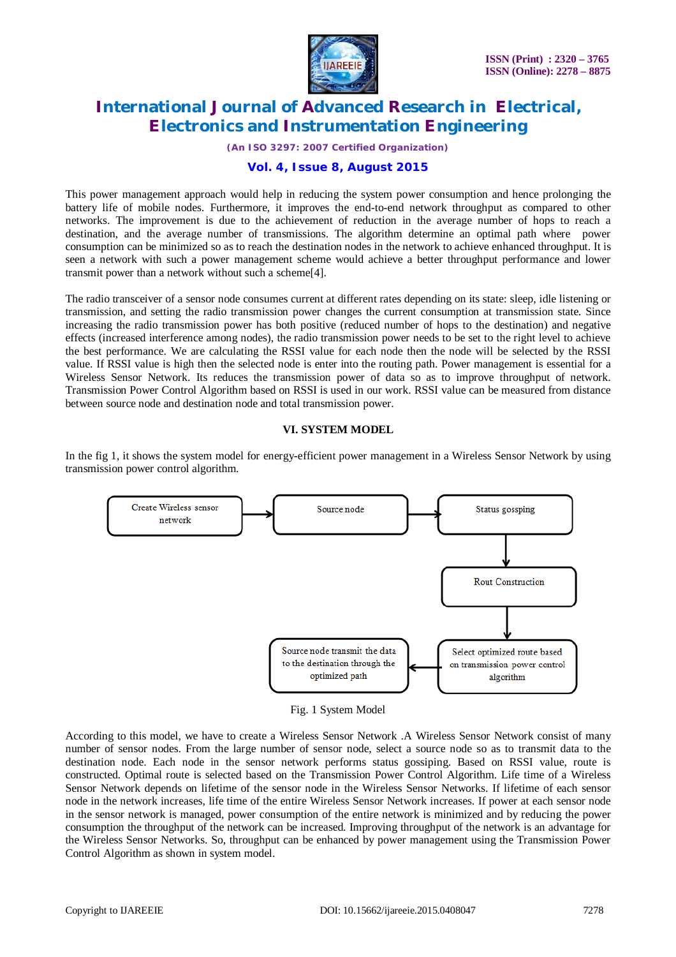

*(An ISO 3297: 2007 Certified Organization)*

## **Vol. 4, Issue 8, August 2015**

This power management approach would help in reducing the system power consumption and hence prolonging the battery life of mobile nodes. Furthermore, it improves the end-to-end network throughput as compared to other networks. The improvement is due to the achievement of reduction in the average number of hops to reach a destination, and the average number of transmissions. The algorithm determine an optimal path where power consumption can be minimized so as to reach the destination nodes in the network to achieve enhanced throughput. It is seen a network with such a power management scheme would achieve a better throughput performance and lower transmit power than a network without such a scheme[4].

The radio transceiver of a sensor node consumes current at different rates depending on its state: sleep, idle listening or transmission, and setting the radio transmission power changes the current consumption at transmission state. Since increasing the radio transmission power has both positive (reduced number of hops to the destination) and negative effects (increased interference among nodes), the radio transmission power needs to be set to the right level to achieve the best performance. We are calculating the RSSI value for each node then the node will be selected by the RSSI value. If RSSI value is high then the selected node is enter into the routing path. Power management is essential for a Wireless Sensor Network. Its reduces the transmission power of data so as to improve throughput of network. Transmission Power Control Algorithm based on RSSI is used in our work. RSSI value can be measured from distance between source node and destination node and total transmission power.

#### **VI. SYSTEM MODEL**

In the fig 1, it shows the system model for energy-efficient power management in a Wireless Sensor Network by using transmission power control algorithm.



Fig. 1 System Model

According to this model, we have to create a Wireless Sensor Network .A Wireless Sensor Network consist of many number of sensor nodes. From the large number of sensor node, select a source node so as to transmit data to the destination node. Each node in the sensor network performs status gossiping. Based on RSSI value, route is constructed. Optimal route is selected based on the Transmission Power Control Algorithm. Life time of a Wireless Sensor Network depends on lifetime of the sensor node in the Wireless Sensor Networks. If lifetime of each sensor node in the network increases, life time of the entire Wireless Sensor Network increases. If power at each sensor node in the sensor network is managed, power consumption of the entire network is minimized and by reducing the power consumption the throughput of the network can be increased. Improving throughput of the network is an advantage for the Wireless Sensor Networks. So, throughput can be enhanced by power management using the Transmission Power Control Algorithm as shown in system model.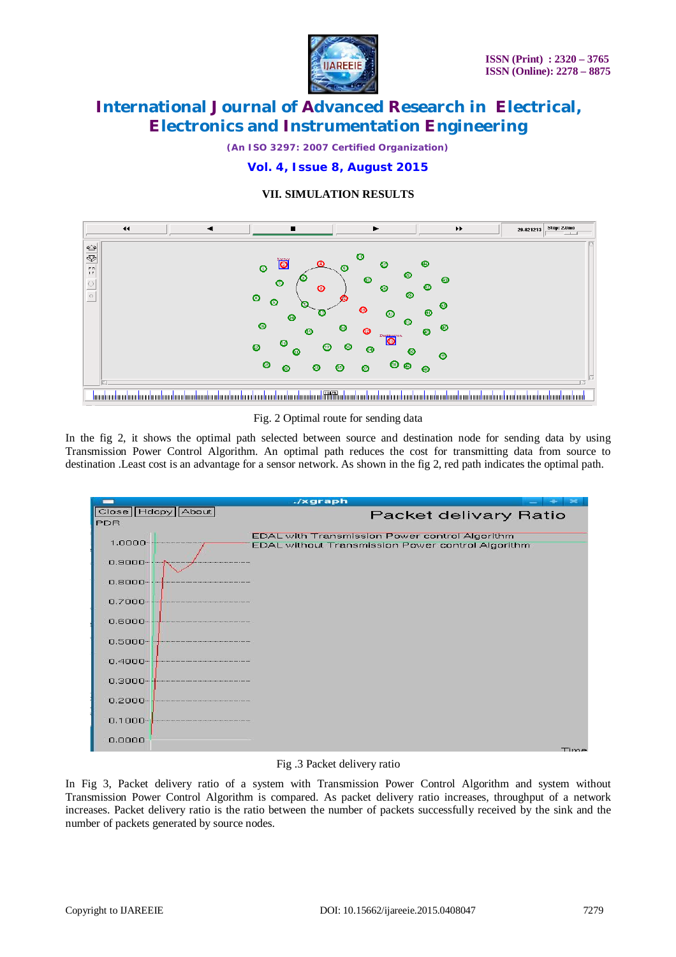

*(An ISO 3297: 2007 Certified Organization)*

# **Vol. 4, Issue 8, August 2015**

# **VII. SIMULATION RESULTS**



Fig. 2 Optimal route for sending data

In the fig 2, it shows the optimal path selected between source and destination node for sending data by using Transmission Power Control Algorithm. An optimal path reduces the cost for transmitting data from source to destination .Least cost is an advantage for a sensor network. As shown in the fig 2, red path indicates the optimal path.



### Fig .3 Packet delivery ratio

In Fig 3, Packet delivery ratio of a system with Transmission Power Control Algorithm and system without Transmission Power Control Algorithm is compared. As packet delivery ratio increases, throughput of a network increases. Packet delivery ratio is the ratio between the number of packets successfully received by the sink and the number of packets generated by source nodes.